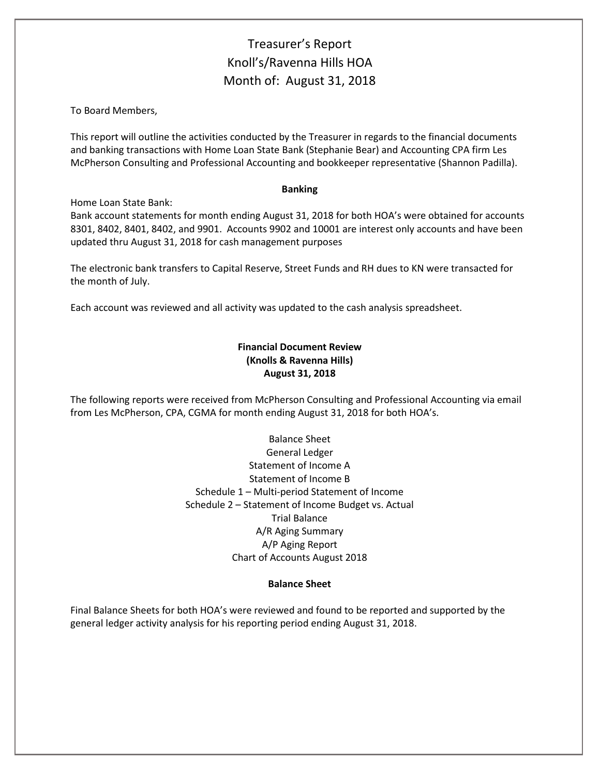# Treasurer's Report Knoll's/Ravenna Hills HOA Month of: August 31, 2018

To Board Members,

This report will outline the activities conducted by the Treasurer in regards to the financial documents and banking transactions with Home Loan State Bank (Stephanie Bear) and Accounting CPA firm Les McPherson Consulting and Professional Accounting and bookkeeper representative (Shannon Padilla).

#### **Banking**

### Home Loan State Bank:

Bank account statements for month ending August 31, 2018 for both HOA's were obtained for accounts 8301, 8402, 8401, 8402, and 9901. Accounts 9902 and 10001 are interest only accounts and have been updated thru August 31, 2018 for cash management purposes

The electronic bank transfers to Capital Reserve, Street Funds and RH dues to KN were transacted for the month of July.

Each account was reviewed and all activity was updated to the cash analysis spreadsheet.

### **Financial Document Review (Knolls & Ravenna Hills) August 31, 2018**

The following reports were received from McPherson Consulting and Professional Accounting via email from Les McPherson, CPA, CGMA for month ending August 31, 2018 for both HOA's.

> Balance Sheet General Ledger Statement of Income A Statement of Income B Schedule 1 – Multi-period Statement of Income Schedule 2 – Statement of Income Budget vs. Actual Trial Balance A/R Aging Summary A/P Aging Report Chart of Accounts August 2018

#### **Balance Sheet**

Final Balance Sheets for both HOA's were reviewed and found to be reported and supported by the general ledger activity analysis for his reporting period ending August 31, 2018.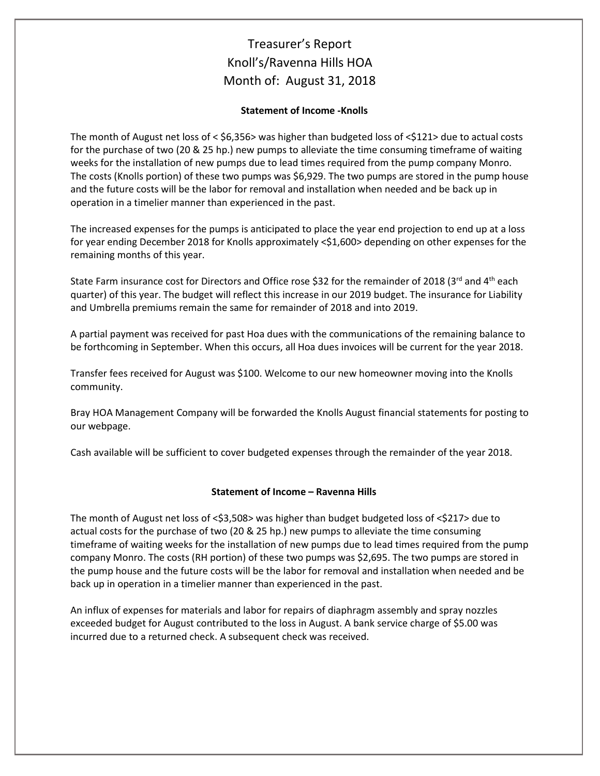# Treasurer's Report Knoll's/Ravenna Hills HOA Month of: August 31, 2018

### **Statement of Income -Knolls**

The month of August net loss of < \$6,356> was higher than budgeted loss of <\$121> due to actual costs for the purchase of two (20 & 25 hp.) new pumps to alleviate the time consuming timeframe of waiting weeks for the installation of new pumps due to lead times required from the pump company Monro. The costs (Knolls portion) of these two pumps was \$6,929. The two pumps are stored in the pump house and the future costs will be the labor for removal and installation when needed and be back up in operation in a timelier manner than experienced in the past.

The increased expenses for the pumps is anticipated to place the year end projection to end up at a loss for year ending December 2018 for Knolls approximately <\$1,600> depending on other expenses for the remaining months of this year.

State Farm insurance cost for Directors and Office rose \$32 for the remainder of 2018 (3rd and 4<sup>th</sup> each quarter) of this year. The budget will reflect this increase in our 2019 budget. The insurance for Liability and Umbrella premiums remain the same for remainder of 2018 and into 2019.

A partial payment was received for past Hoa dues with the communications of the remaining balance to be forthcoming in September. When this occurs, all Hoa dues invoices will be current for the year 2018.

Transfer fees received for August was \$100. Welcome to our new homeowner moving into the Knolls community.

Bray HOA Management Company will be forwarded the Knolls August financial statements for posting to our webpage.

Cash available will be sufficient to cover budgeted expenses through the remainder of the year 2018.

### **Statement of Income – Ravenna Hills**

The month of August net loss of <\$3,508> was higher than budget budgeted loss of <\$217> due to actual costs for the purchase of two (20 & 25 hp.) new pumps to alleviate the time consuming timeframe of waiting weeks for the installation of new pumps due to lead times required from the pump company Monro. The costs (RH portion) of these two pumps was \$2,695. The two pumps are stored in the pump house and the future costs will be the labor for removal and installation when needed and be back up in operation in a timelier manner than experienced in the past.

An influx of expenses for materials and labor for repairs of diaphragm assembly and spray nozzles exceeded budget for August contributed to the loss in August. A bank service charge of \$5.00 was incurred due to a returned check. A subsequent check was received.